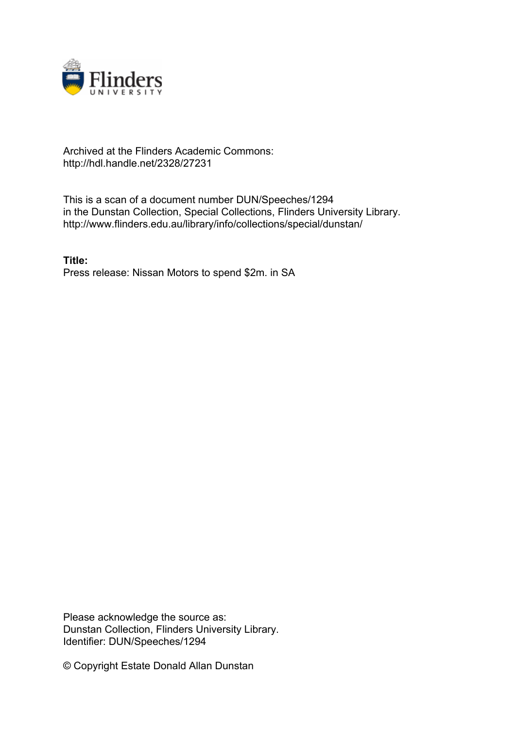

## Archived at the Flinders Academic Commons: http://hdl.handle.net/2328/27231

This is a scan of a document number DUN/Speeches/1294 in the Dunstan Collection, Special Collections, Flinders University Library. http://www.flinders.edu.au/library/info/collections/special/dunstan/

**Title:** Press release: Nissan Motors to spend \$2m. in SA

Please acknowledge the source as: Dunstan Collection, Flinders University Library. Identifier: DUN/Speeches/1294

© Copyright Estate Donald Allan Dunstan